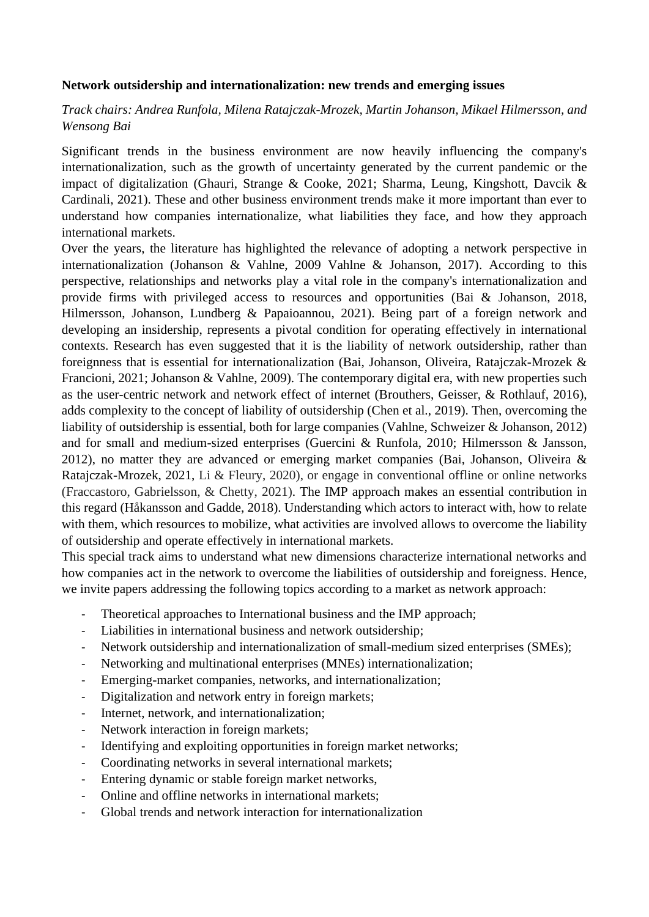## **Network outsidership and internationalization: new trends and emerging issues**

## *Track chairs: Andrea Runfola, Milena Ratajczak-Mrozek, Martin Johanson, Mikael Hilmersson, and Wensong Bai*

Significant trends in the business environment are now heavily influencing the company's internationalization, such as the growth of uncertainty generated by the current pandemic or the impact of digitalization (Ghauri, Strange & Cooke, 2021; Sharma, Leung, Kingshott, Davcik & Cardinali, 2021). These and other business environment trends make it more important than ever to understand how companies internationalize, what liabilities they face, and how they approach international markets.

Over the years, the literature has highlighted the relevance of adopting a network perspective in internationalization (Johanson & Vahlne, 2009 Vahlne & Johanson, 2017). According to this perspective, relationships and networks play a vital role in the company's internationalization and provide firms with privileged access to resources and opportunities (Bai & Johanson, 2018, Hilmersson, Johanson, Lundberg & Papaioannou, 2021). Being part of a foreign network and developing an insidership, represents a pivotal condition for operating effectively in international contexts. Research has even suggested that it is the liability of network outsidership, rather than foreignness that is essential for internationalization (Bai, Johanson, Oliveira, Ratajczak-Mrozek & Francioni, 2021; Johanson & Vahlne, 2009). The contemporary digital era, with new properties such as the user-centric network and network effect of internet (Brouthers, Geisser, & Rothlauf, 2016), adds complexity to the concept of liability of outsidership (Chen et al., 2019). Then, overcoming the liability of outsidership is essential, both for large companies (Vahlne, Schweizer & Johanson, 2012) and for small and medium-sized enterprises (Guercini & Runfola, 2010; Hilmersson & Jansson, 2012), no matter they are advanced or emerging market companies (Bai, Johanson, Oliveira & Ratajczak-Mrozek, 2021, Li & Fleury, 2020), or engage in conventional offline or online networks (Fraccastoro, Gabrielsson, & Chetty, 2021). The IMP approach makes an essential contribution in this regard (Håkansson and Gadde, 2018). Understanding which actors to interact with, how to relate with them, which resources to mobilize, what activities are involved allows to overcome the liability of outsidership and operate effectively in international markets.

This special track aims to understand what new dimensions characterize international networks and how companies act in the network to overcome the liabilities of outsidership and foreigness. Hence, we invite papers addressing the following topics according to a market as network approach:

- Theoretical approaches to International business and the IMP approach;
- Liabilities in international business and network outsidership;
- Network outsidership and internationalization of small-medium sized enterprises (SMEs);
- Networking and multinational enterprises (MNEs) internationalization;
- Emerging-market companies, networks, and internationalization;
- Digitalization and network entry in foreign markets;
- Internet, network, and internationalization;
- Network interaction in foreign markets;
- Identifying and exploiting opportunities in foreign market networks;
- Coordinating networks in several international markets;
- Entering dynamic or stable foreign market networks,
- Online and offline networks in international markets;
- Global trends and network interaction for internationalization